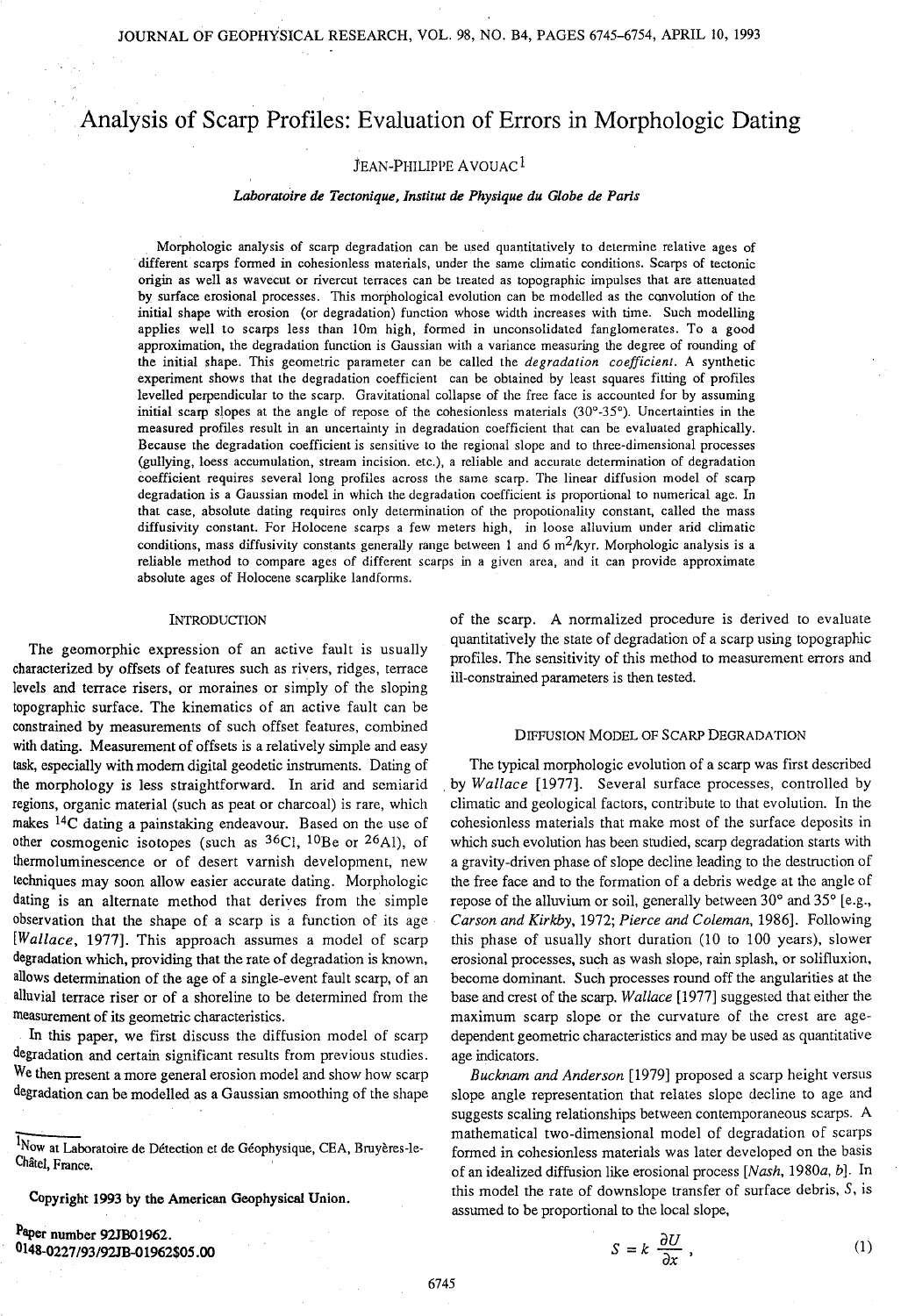# Analysis of Scarp Profiles: Evaluation of Errors in Morphologic Dating

# JEAN-PHILIPPE AVOUAC<sup>1</sup>

#### *Laboratoire* de *Tectonique, Institut* de *Physique du Globe* de *Paris*

Morphologic analysis of scarp degradation can be used quantitatively to determine relative ages of different scarps formed in cohesionless materials, under the same climatic conditions. Scarps of tectonic origin as well as wavecut or rivercut terraces can be treated as topographic impulses that are attenuated by surface erosional processes. This morphological evolution can be modelled as the convolution of the initial shape with erosion (or degradation) function whose width increases with time. Such modelling applies well to scarps less than !Om high, formed in unconsolidated fanglomerates. To a good approximation, the degradation function is Gaussian with a variance measuring the degree of rounding of the initial shape. This geometric parameter can be called the *degradation coefficient.* A synthetic experiment shows that the degradation coefficient can be obtained by least squares fitting of profiles levelled perpendicular to the scarp. Gravitational collapse of the free face is accounted for by assuming initial scarp slopes at the angle of repose of the cohesionless materials  $(30^{\circ} - 35^{\circ})$ . Uncertainties in the measured profiles result in an uncertainty in degradation coefficient that can be evaluated graphically. Because the degradation coefficient is sensitive to the regional slope and to three-dimensional processes (gullying, loess accumulation, stream incision. etc.), a reliable and accurate determination of degradation coefficient requires several long profiles across the same scarp. The linear diffusion model of scarp degradation is a Gaussian model in which the degradation coefficient is proportional to numerical age. In that case, absolute dating requires only determination of the propotionality constant, called the mass diffusivity constant. For Holocene scarps a few meters high, in loose alluvium under arid climatic conditions, mass diffusivity constants generally range between 1 and 6  $m^2/kyr$ . Morphologic analysis is a reliable method to compare ages of different scarps in a given area, and it can provide approximate absolute ages of Holocene scarplike landforms.

#### **INTRODUCTION**

The geomorphic expression of an active fault is usually characterized by offsets of features such as rivers, ridges, terrace levels and terrace risers, or moraines or simply of the sloping topographic surface. The kinematics of an active fault can be constrained by measurements of such offset features, combined with dating. Measurement of offsets is a relatively simple and easy task, especially with modem digital geodetic instruments. Dating of the morphology is less straightforward. In arid and semiarid regions, organic material (such as peat or charcoal) is rare, which makes 14C dating a painstaking endeavour. Based on the use of other cosmogenic isotopes (such as  ${}^{36}C_1$ ,  ${}^{10}Be$  or  ${}^{26}Al$ ), of thermoluminescence or of desert varnish development, new techniques may soon allow easier accurate dating. Morphologic dating is an alternate method that derives from the simple observation that the shape of a scarp is a function of its age *[Wallace,* 1977]. This approach assumes a model of scarp degradation which, providing that the rate of degradation is known, allows determination of the age of a single-event fault scarp, of an alluvial terrace riser or of a shoreline to be determined from the measurement of its geometric characteristics.

In this paper, we first discuss the diffusion model of scarp degradation and certain significant results from previous studies. We then present a more general erosion model and show how scarp degradation can be modelled as a Gaussian smoothing of the shape

Copyright 1993 by the American Geophysical Union.

Paper number 92JB01962. 0148-0227/93/92JB-01962\$05.00 of the scarp. A normalized procedure is derived to evaluate quantitatively the state of degradation of a scarp using topographic profiles. The sensitivity of this method to measurement errors and ill-constrained parameters is then tested.

#### DIFFUSION MODEL OF SCARP DEGRADATION

The typical morphologic evolution of a scarp was first described . by *Wallace* [1977]. Several surface processes, controlled by climatic and geological factors, contribute to that evolution. In the cohesionless materials that make most of the surface deposits in which such evolution has been studied, scarp degradation starts with a gravity-driven phase of slope decline leading to the destruction of the free face and to the formation of a debris wedge at the angle of repose of the alluvium or soil, generally between 30° and 35° [e.g., *Carson and Kirkby,* 1972; *Pierce and Coleman,* 1986]. Following this phase of usually short duration (10 to 100 years), slower erosional processes, such as wash slope, rain splash, or solifluxion, become dominant. Such processes round off the angularities at the base and crest of the scarp. *Wallace* [1977] suggested that either the maximum scarp slope or the curvature of the crest are agedependent geometric characteristics and may be used as quantitative age indicators.

*Bucknam and Anderson* [1979] proposed a scarp height versus slope angle representation that relates slope decline to age and suggests scaling relationships between contemporaneous scarps. A mathematical two-dimensional model of degradation of scarps formed in cohesionless materials was later developed on the basis of an idealized diffusion like erosional process *[Nash,* 1980a, *b].* In this model the rate of downslope transfer of surface debris, S, is assumed to be proportional to the local slope,

$$
S = k \frac{\partial U}{\partial x} , \qquad (1)
$$

<sup>1</sup>Now at Laboratoire de Détection et de Géophysique, CEA, Bruyères-le-Châtel, France. **''**'' and the contract of the contract of the contract of the contract of the contract of the contract of the contract of the contract of the contract of the contract of the contract of the contract of the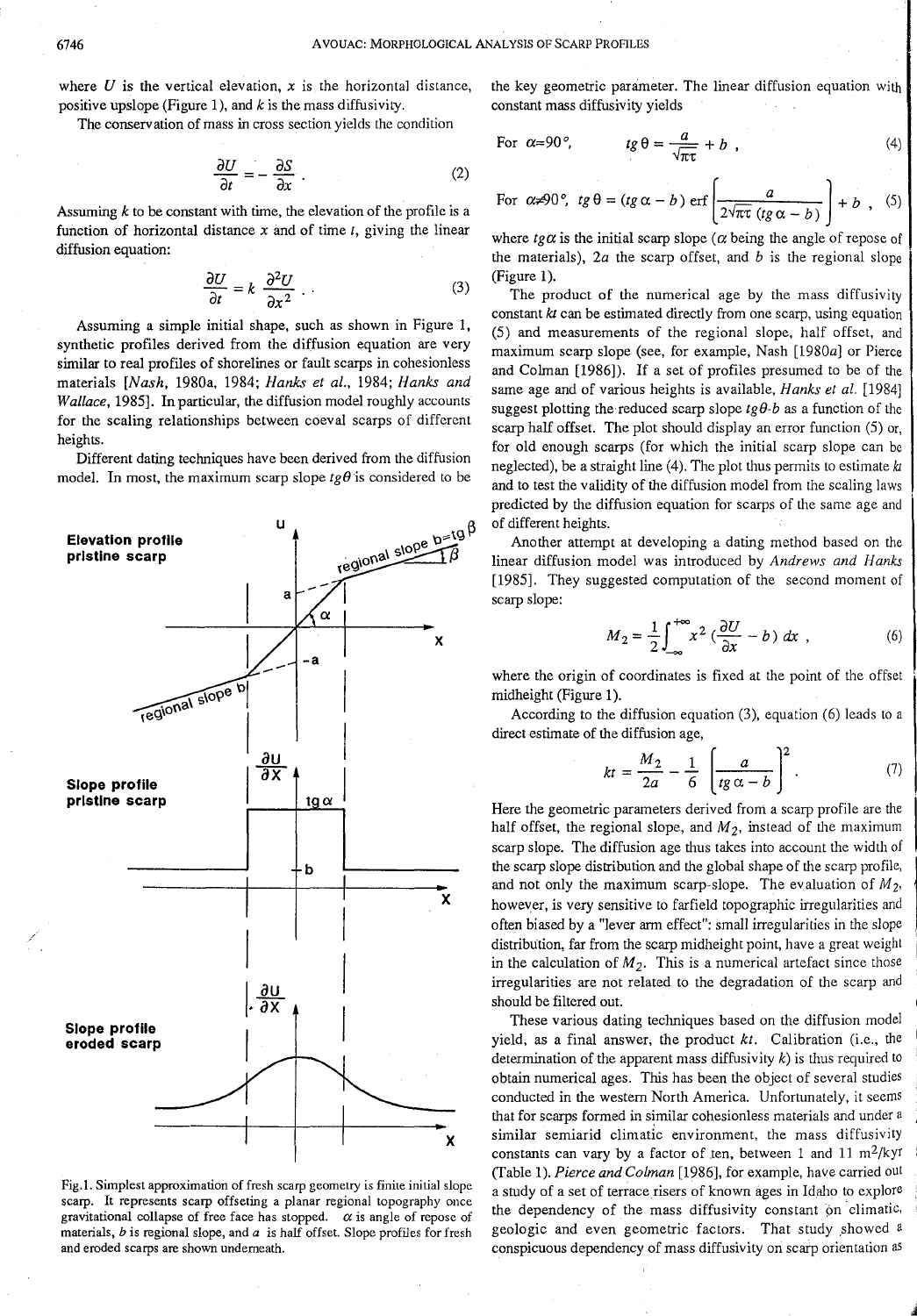where  $U$  is the vertical elevation,  $x$  is the horizontal distance, positive upslope (Figure 1), and  $k$  is the mass diffusivity.

The conservation of mass in cross section yields the condition

$$
\frac{\partial U}{\partial t} = -\frac{\partial S}{\partial x} \tag{2}
$$

Assuming *k* to be constant with time, the elevation of the profile is a function of horizontal distance  $x$  and of time  $t$ , giving the linear diffusion equation:

$$
\frac{\partial U}{\partial t} = k \frac{\partial^2 U}{\partial x^2} \tag{3}
$$

Assuming a simple initial shape, such as shown in Figure 1, synthetic profiles derived from the diffusion equation are very similar to real profiles of shorelines or fault scarps in cohesionless materials *[Nash,* 1980a, 1984; *Hanks et al.,* 1984; *Hanks and Wallace,* 1985]. In particular, the diffusion model roughly accounts for the scaling relationships between coeval scarps of different heights.

Different dating techniques have been derived from the diffusion model. In most, the maximum scarp slope  $t \theta$  is considered to be



Fig.1. Simplest approximation of fresh scarp geometry is finite initial slope scarp. It represents scarp offseting a planar regional topography once gravitational collapse of free face has stopped.  $\alpha$  is angle of repose of materials, *b* is regional slope, and *a* is half offset. Slope profiles for fresh and eroded scarps are shown underneath.

the key geometric parameter. The linear diffusion equation with constant mass diffusivity yields

For 
$$
\alpha=90^\circ
$$
,  $tg \theta = \frac{a}{\sqrt{\pi \tau}} + b$ , (4)

For 
$$
\alpha \neq 90^\circ
$$
,  $tg \theta = (tg \alpha - b) \text{ erf} \left( \frac{a}{2\sqrt{\pi \tau} (tg \alpha - b)} \right) + b$ , (5)

where  $t\varrho\alpha$  is the initial scarp slope ( $\alpha$  being the angle of repose of the materials), *2a* the scarp offset, and *b* is the regional slope (Figure 1).

The product of the numerical age by the mass diffusivity constant *kt* can be estimated directly from one scarp, using equation (5) and measurements of the regional slope, half offset, and maximum scarp slope (see, for example, Nash [1980a] or Pierce and Colman [1986]). If a set of profiles presumed to be of the same age and of various heights is available, *Hanks et al.* [1984] suggest plotting the reduced scarp slope  $tg\theta-b$  as a function of the scarp half offset. The plot should display an error function (5) or, for old enough scarps (for which the initial scarp slope can be neglected), be a straight line (4). The plot thus permits to estimate *kt*  and to test the validity of the diffusion model from the scaling laws predicted by the diffusion equation for scarps of the same age and of different heights.

Another attempt at developing a dating method based on the linear diffusion model was introduced by *Andrews and Hanks* [1985]. They suggested computation of the second moment of scarp slope:

$$
M_2 = \frac{1}{2} \int_{-\infty}^{+\infty} x^2 \left(\frac{\partial U}{\partial x} - b\right) dx \tag{6}
$$

where the origin of coordinates is fixed at the point of the offset midheight (Figure 1).

According to the diffusion equation (3), equation (6) leads to a direct estimate of the diffusion age,

$$
kt = \frac{M_2}{2a} - \frac{1}{6} \left( \frac{a}{tg \alpha - b} \right)^2.
$$
 (7)

Here the geometric parameters derived from a scarp profile are the half offset, the regional slope, and  $M_2$ , instead of the maximum scarp slope. The diffusion age thus takes into account the width of the scarp slope distribution and the global shape of the scarp profile, and not only the maximum scarp-slope. The evaluation of *Mz,*  however, is very sensitive to farfield topographic irregularities and often biased by a "lever arm effect": small irregularities in the slope distribution, far from the scarp midheight point, have a great weight in the calculation of  $M_2$ . This is a numerical artefact since those irregularities are not related to the degradation of the scarp and should be filtered out.

These various dating techniques based on the diffusion model yield, as a final answer, the product *kt.* Calibration (i.e., the determination of the apparent mass diffusivity  $k$ ) is thus required to obtain numerical ages. This has been the object of several studies conducted in the western North America. Unfortunately, it seems that for scarps formed in similar cohesionless materials and under a similar semiarid climatic environment, the mass diffusivity constants can vary by a factor of ten, between 1 and 11  $\text{m}^2/\text{kyr}$ (Table 1). *Pierce and Colman* [1986], for example, have carried out a study of a set of terrace risers of known ages in Idaho to explore the dependency of the mass diffusivity constant on climatic, geologic and even geometric factors. That study showed a conspicuous dependency of mass diffusivity on scarp orientation as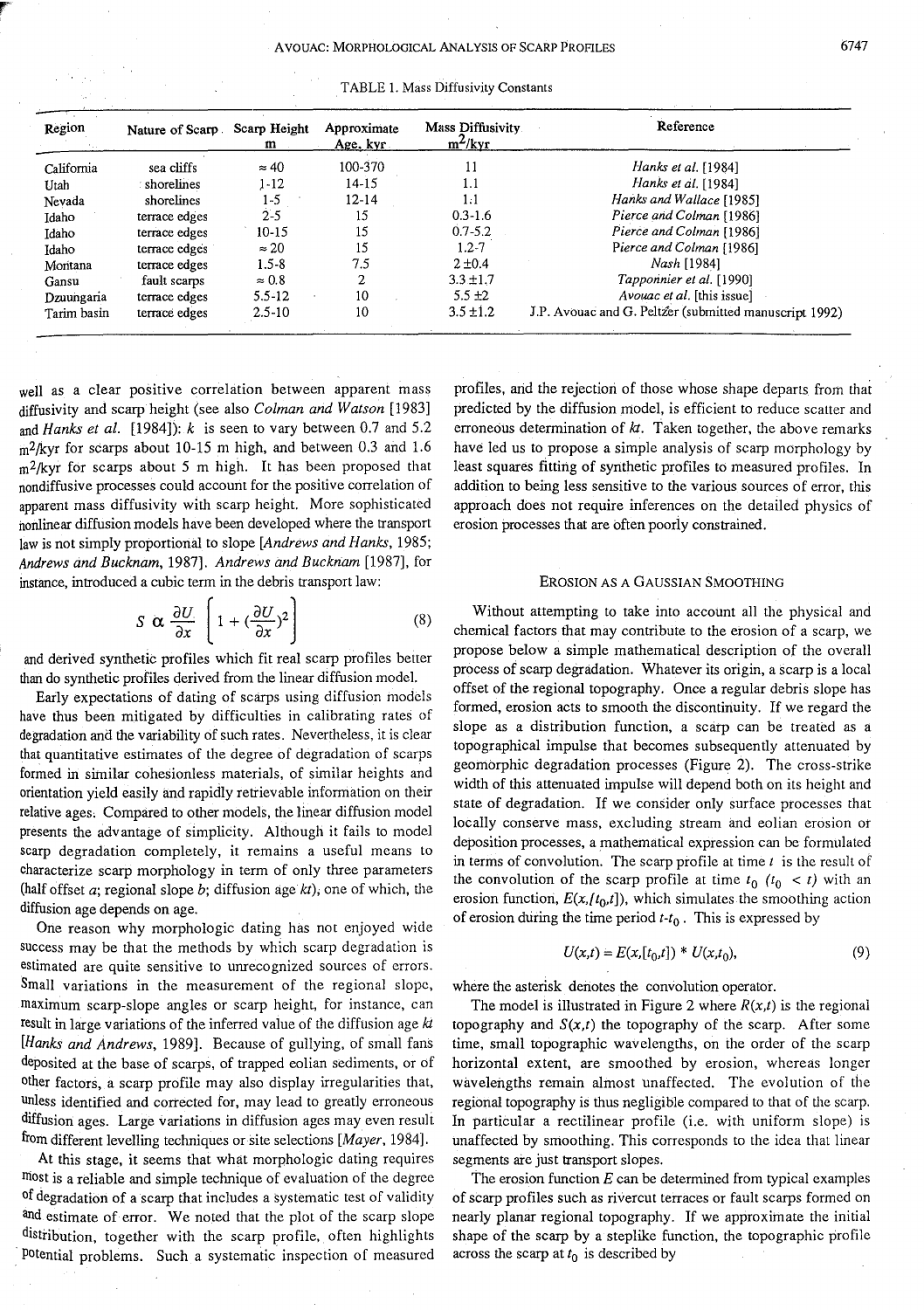| Region      | Nature of Scarp. | Scarp Height<br>m | Approximate<br>Age. kyr | Mass Diffusivity<br>$m^2$ /kyr | Reference                                              |
|-------------|------------------|-------------------|-------------------------|--------------------------------|--------------------------------------------------------|
| California  | sea cliffs       | $\approx 40$      | 100-370                 | 11                             | Hanks et al. [1984]                                    |
| Utah        | : shorelines     | $1 - 12$          | $14 - 15$               | 1.1                            | Hanks et al. [1984]                                    |
| Nevada      | shorelines       | 1-5               | $12 - 14$               | 1:1                            | Hanks and Wallace [1985]                               |
| Idaho       | terrace edges    | $2 - 5$           | 15                      | $0.3 - 1.6$                    | Pierce and Colman [1986]                               |
| Idaho       | terrace edges    | $10-15$           | 15                      | $0.7 - 5.2$                    | Pierce and Colman [1986]                               |
| Idaho       | terrace edges    | $\approx 20$      | 15                      | $1.2 - 7$                      | Pierce and Colman [1986]                               |
| Montana     | terrace edges    | $1.5 - 8$         | 7.5                     | $2 + 0.4$                      | Nash [1984]                                            |
| Gansu       | fault scarps     | $\approx 0.8$     | 2.                      | $3.3 \pm 1.7$                  | Tapponnier et al. [1990]                               |
| Dzuungaria  | terrace edges    | 5.5 12            | 10                      | $5.5 \pm 2$                    | <i>Avouac et al.</i> [this issue]                      |
| Tarim basin | terrace edges    | $2.5 - 10$        | 10                      | $3.5 \pm 1.2$                  | J.P. Avouac and G. Peltzer (submitted manuscript 1992) |

well as a clear positive correlation between apparent mass diffusivity and scarp height (see also *Colman and Watson* [1983] and *Hanks et al.* [1984]): *k* is seen to vary between 0.7 and 5.2  $m^2$ /kyr for scarps about 10-15 m high, and between 0.3 and 1.6  $m^2$ /kyr for scarps about 5 m high. It has been proposed that nondiffusive processes could account for the positive correlation of apparent mass diffusivity with scarp height. More sophisticated nonlinear diffusion models have been developed where the transport law is not simply proportional to slope *[Andrews and Hanks,* 1985; *Andrews and Bucknam,* 1987]. *Andrews and Bucknam* [1987]. for instance, introduced a cubic term in the debris transport law:

$$
S \propto \frac{\partial U}{\partial x} \left[ 1 + (\frac{\partial U}{\partial x})^2 \right] \tag{8}
$$

and derived synthetic profiles which fit real scarp profiles better than do synthetic profiles derived from the linear diffusion model.

Early expectations of dating of scarps using diffusion models have thus been mitigated by difficulties in calibrating rates of degradation and the variability of such rates. Nevertheless, it is clear that quantitative estimates of the degree of degradation of scarps formed in similar cohesionless materials, of similar heights and orientation yield easily and rapidly retrievable information on their relative ages, Compared to other models, the linear diffusion model presents the advantage of simplicity. Although it fails to model scarp degradation completely, it remains a useful means to characterize scarp morphology in term of only three parameters (half offset a; regional slope b; diffusion age *kt);* one of which, the diffusion age depends on age.

One reason why morphologic dating has not enjoyed wide success may be that the methods by which scarp degradation is estimated are quite sensitive to umecognized sources of errors. Small variations in the measurement of the regional slope, maximum scarp-slope angles or scarp height, for instance, can result in large variations of the inferred value of the diffusion age *kt [Hanks and Andrews,* 1989]. Because of gullying, of small fans deposited at the base of scarps, of trapped eolian sediments, or of other factors, a scarp profile may also display irregularities that, unless identified and corrected for, may lead to greatly erroneous diffusion ages. Large variations in diffusion ages may even result from different levelling techniques or site selections *[Mayer,* 1984].

At this stage, it seems that what morphologic dating requires most is a reliable and simple technique of evaluation of the degree of degradation of a scarp that includes a systematic test of validity and estimate of error. We noted that the plot of the scarp slope distribution, together with the scarp profile, often highlights potential problems. Such a systematic inspection of measured

profiles, arid the rejection of those whose shape departs from that predicted by the diffusion model, is efficient to reduce scatter and erroneous determination of  $kt$ . Taken together, the above remarks have led us to propose a simple analysis of scarp morphology by least squares fitting of synthetic profiles to measured profiles. In addition to being less sensitive to the various sources of error, this approach does not require inferences on the detailed physics of erosion processes that are often poorly constrained.

### EROSION *AS* A GAUSSIAN SMOOTHING

Without attempting to take into account all the physical and chemical factors that may contribute to the erosion of a scarp, we propose below a simple mathematical description of the overall process of scarp degradation. Whatever its origin, a scarp is a local offset of the regional topography. Once a regular debris slope has formed, erosion acts to smooth the discontinuity. If we regard the slope as a distribution function, a scarp can be treated as a topographical impulse that becomes subsequently attenuated by geomorphic degradation processes (Figure 2). The cross-strike width of this attenuated impulse will depend both on its height and state of degradation. If we consider only surface processes that locally conserve mass, excluding stream and eolian erosion or deposition processes, a mathematical expression can be formulated in terms of convolution. The scarp profile at time  $t$  is the result of the convolution of the scarp profile at time  $t_0$   $(t_0 < t)$  with an erosion function,  $E(x, [t_0,t])$ , which simulates the smoothing action of erosion during the time period *t-t0* . This is expressed by

$$
U(x,t) = E(x,[t_0,t]) * U(x,t_0),
$$
\n(9)

where the asterisk denotes the convolution operator.

The model is illustrated in Figure 2 where  $R(x,t)$  is the regional topography and  $S(x,t)$  the topography of the scarp. After some time, small topographic wavelengths, on the order of the scarp horizontal extent, are smoothed by erosion, whereas longer wavelengths remain almost unaffected. The evolution of the regional topography is thus negligible compared to that of the scarp. In particular a rectilinear profile (i.e. with uniform slope) is unaffected by smoothing. This corresponds to the idea that linear segments are just transport slopes.

The erosion function *E* can be determined from typical examples of scarp profiles such as rivercut terraces or fault scarps formed on nearly planar regional topography. If we approximate the initial shape of the scarp by a steplike function, the topographic profile across the scarp at  $t_0$  is described by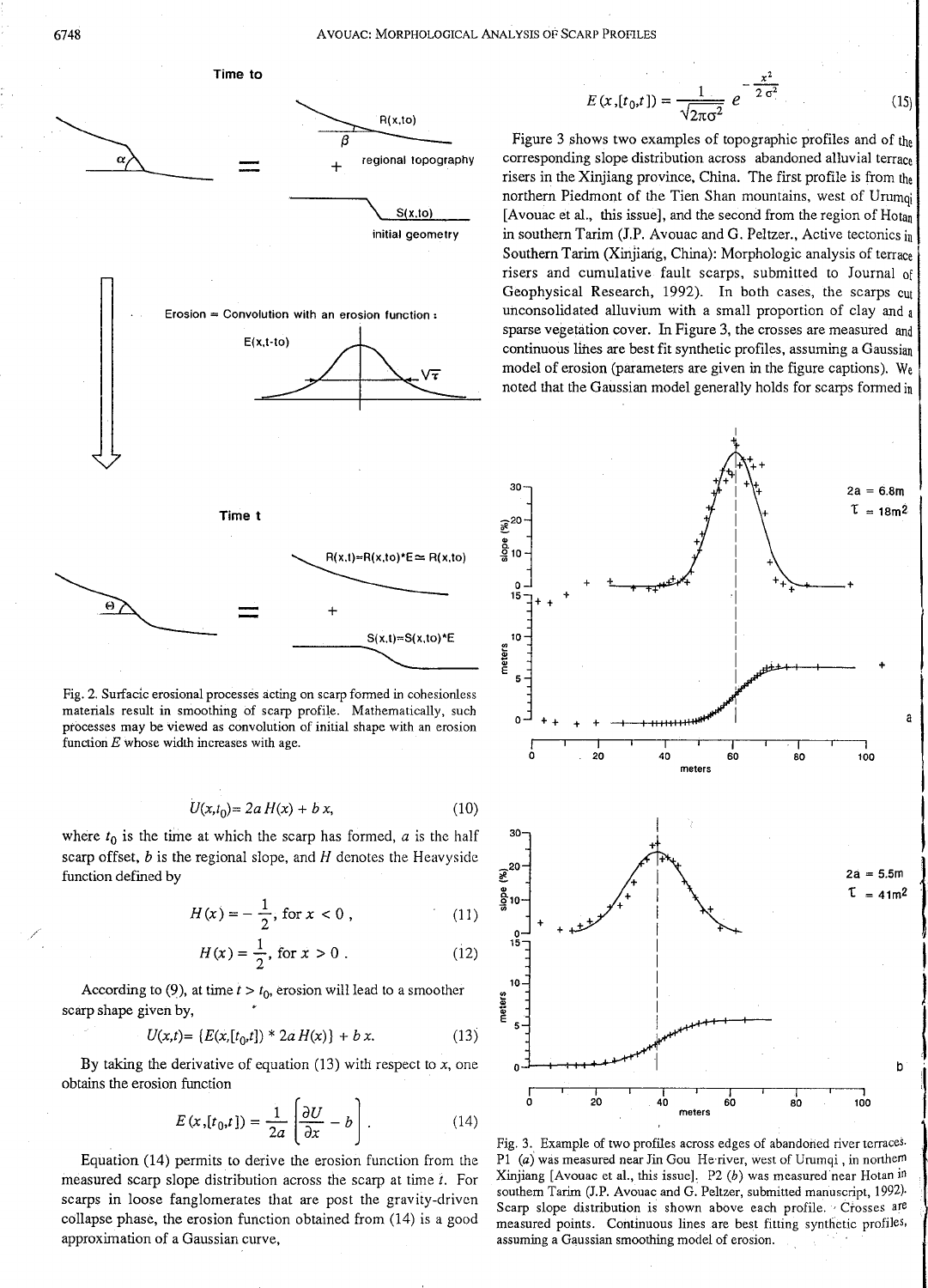/

6748 AVOUAC: MORPHOLOGICAL ANALYSIS OF SCARP PROFILES



Fig. 2. Surfacic erosional processes acting on scarp formed in cohesionless materials result in smoothing of scarp profile. Mathematically, such processes may be viewed as convolution of initial shape with an erosion function  $E$  whose width increases with age.

$$
U(x,t_0) = 2a H(x) + b x, \t(10)
$$

where  $t_0$  is the time at which the scarp has formed,  $a$  is the half scarp offset, *b* is the regional slope, and *H* denotes the Heavyside function defined by

$$
H(x) = -\frac{1}{2}, \text{ for } x < 0 \tag{11}
$$

$$
H(x) = \frac{1}{2}, \text{ for } x > 0.
$$
 (12)

According to (9), at time  $t > t_0$ , erosion will lead to a smoother scarp shape given by,

$$
U(x,t) = \{E(x,[t_0,t]) * 2a H(x)\} + b x. \tag{13}
$$

By taking the derivative of equation (13) with respect to *x,* one obtains the erosion function

$$
E(x, [t_0, t]) = \frac{1}{2a} \left( \frac{\partial U}{\partial x} - b \right).
$$
 (14)

Equation (14) permits to derive the erosion function from the measured scarp slope distribution across the scarp at time *t.* For scarps in loose fanglomerates that are post the gravity-driven collapse phase, the erosion function obtained from (14) is a good approximation of a Gaussian curve,

$$
E(x,[t_0,t]) = \frac{1}{\sqrt{2\pi\sigma^2}} e^{-\frac{x^2}{2\sigma^2}}
$$
 (15)

Figure 3 shows two examples of topographic profiles and of the corresponding slope distribution across abandoned alluvial terrace risers in the Xinjiang province, China. The first profile is from the northern Piedmont of the Tien Shan mountains, west of Urumqi [Avouac et al., this issue], and the second from the region of Hotan in southern Tarim (J.P. Avouac and G. Peltzer., Active tectonics in Southern Tarim (Xinjiarig, China): Morphologic analysis of terrace risers and cumulative fault scarps, submitted to Journal of Geophysical Research, 1992). In both cases, the scarps cut unconsolidated alluvium with a small proportion of clay and a sparse vegetation cover. In Figure 3, the crosses are measured and continuous lines are best fit synthetic profiles, assuming a Gaussian model of erosion (parameters are given in the figure captions). We noted that the Gaussian model generally holds for scarps formed in



I

**J** 

:I

|<br>|<br>|<br>|

Fig. 3. Example of two profiles across edges of abandoned river terraces. P1 (a) was measured near Jin Gou He river, west of Urumqi, in northern Xinjiang [Avouac et al., this issue]. P2  $(b)$  was measured near Hotan in southern Tarim (J.P. Avouac and G. Peltzer, submitted manuscript, 1992). Scarp slope distribution is shown above each profile. · Crosses are measured points. Continuous lines are best fitting synthetic profiles, assuming a Gaussian smoothing model of erosion.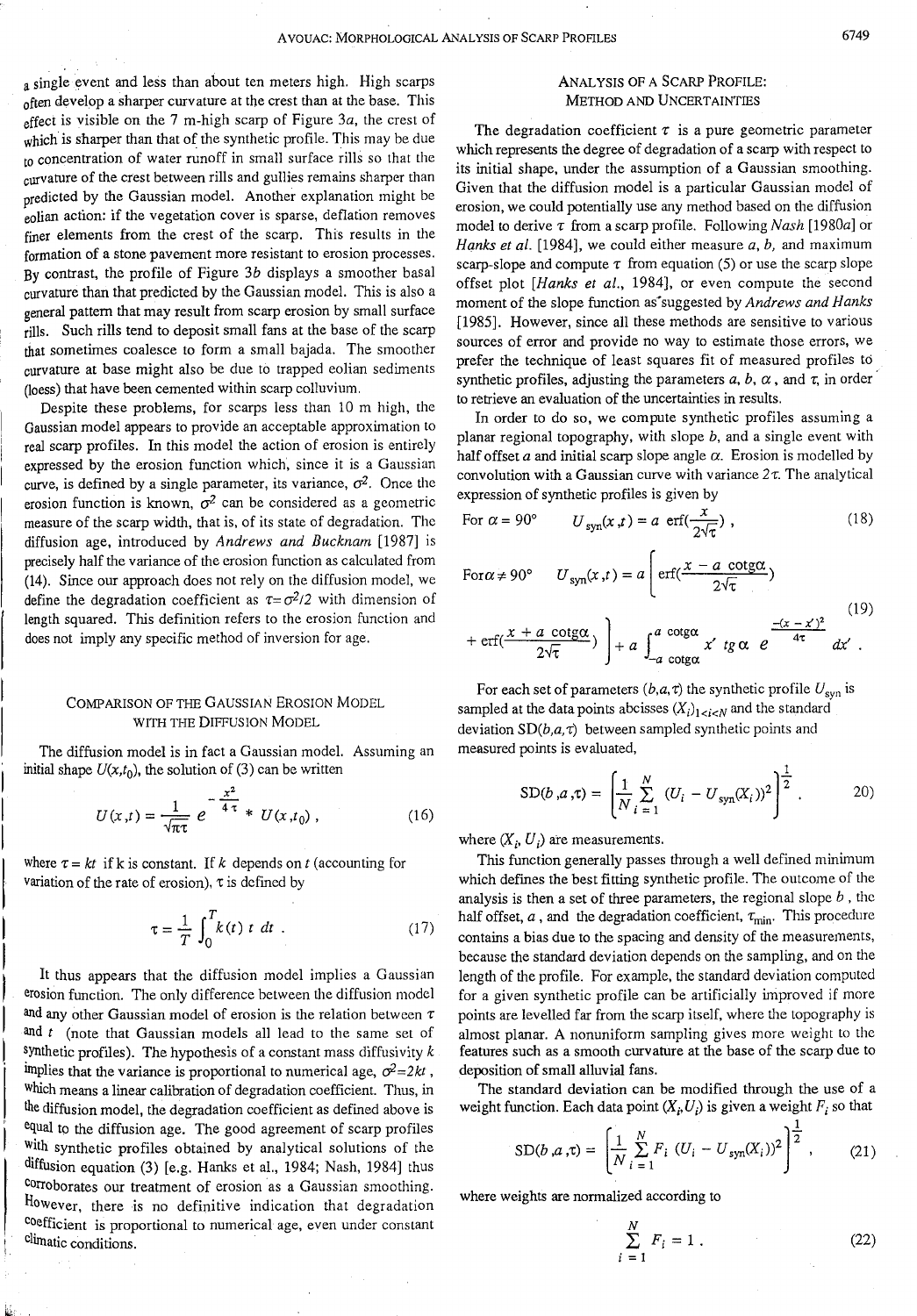a single event and less than about ten meters high. High scarps often develop a sharper curvature at the crest than at the base. This effect is visible on the 7 m-high scarp of Figure *3a,* the crest of which is sharper than that of the synthetic profile. This may be due to concentration of water runoff in small surface rills so that the curvature of the crest between rills and gullies remains sharper than predicted by the Gaussian model. Another explanation might be eolian action: if the vegetation cover is sparse, deflation removes finer elements from the crest of the scarp. This results in the formation of a stone pavement more resistant to erosion processes. By contrast, the profile of Figure  $3b$  displays a smoother basal curvature than that predicted by the Gaussian model. This is also a general pattern that may result from scarp erosion by small surface rills. Such rills tend to deposit small fans at the base of the scarp that sometimes coalesce to form a small bajada. The smoother curvature at base might also be due to trapped eolian sediments (loess) that have been cemented within scarp colluvium.

Despite these problems, for scarps less than 10 m high, the Gaussian model appears to provide an acceptable approximation to real scarp profiles. In this model the action of erosion is entirely expressed by the erosion function which, since it is a Gaussian curve, is defined by a single parameter, its variance,  $\sigma^2$ . Once the erosion function is known,  $\sigma^2$  can be considered as a geometric measure of the scarp width, that is, of its state of degradation. The diffusion age, introduced by *Andrews and Bucknam* [1987] is precisely half the variance of the erosion function as calculated from (14). Since our approach does not rely on the diffusion model, we define the degradation coefficient as  $\tau = \sigma^2/2$  with dimension of length squared. This definition refers to the erosion function and does not imply any specific method of inversion for age.

### COMPARISON OF THE GAUSSIAN EROSION MODEL WITH THE DIFFUSION MODEL

The diffusion model is in fact a Gaussian model. Assuming an initial shape  $U(x,t_0)$ , the solution of (3) can be written

$$
U(x,t) = \frac{1}{\sqrt{\pi \tau}} e^{-\frac{x^2}{4 \tau}} * U(x,t_0), \qquad (16)
$$

where  $\tau = kt$  if k is constant. If *k* depends on *t* (accounting for variation of the rate of erosion),  $\tau$  is defined by

$$
\tau = \frac{1}{T} \int_0^T k(t) \ t \ dt \ . \tag{17}
$$

It thus appears that the diffusion model implies a Gaussian erosion function. The only difference between the diffusion model and any other Gaussian model of erosion is the relation between  $\tau$ and *t* (note that Gaussian models all lead to the same set of synthetic profiles). The hypothesis of a constant mass diffusivity *k*  implies that the variance is proportional to numerical age,  $\sigma^2 = 2kt$ , Which means a linear calibration of degradation coefficient. Thus, in the diffusion model, the degradation coefficient as defined above is equal to the diffusion age. The good agreement of scarp profiles With synthetic profiles obtained by analytical solutions of the diffusion equation (3) [e.g. Hanks et al., 1984; Nash, 1984] thus corroborates our treatment of erosion as a Gaussian smoothing. However, there is no definitive indication that degradation Coefficient is proportional to numerical age, even under constant climatic conditions.

# ANALYSIS OF A SCARP PROFILE: METHOD AND UNCERTAINTIES

The degradation coefficient  $\tau$  is a pure geometric parameter which represents the degree of degradation of a scarp with respect to its initial shape, under the assumption of a Gaussian smoothing. Given that the diffusion model is a particular Gaussian model of erosion, we could potentially use any method based on the diffusion model to derive  $\tau$  from a scarp profile. Following *Nash* [1980a] or *Hanks et at.* [1984], we could either measure *a, b,* and maximum scarp-slope and compute  $\tau$  from equation (5) or use the scarp slope offset plot *[Hanks et at.,* 1984], or even compute the second moment of the slope function as<sup>\*</sup> suggested by *Andrews and Hanks* [1985]. However, since all these methods are sensitive to various sources of error and provide no way to estimate those errors, we prefer the technique of least squares fit of measured profiles to synthetic profiles, adjusting the parameters  $a, b, \alpha$ , and  $\tau$ , in order to retrieve an evaluation of the uncertainties in results.

In order to do so, we compute synthetic profiles assuming a planar regional topography, with slope  $b$ , and a single event with half offset  $a$  and initial scarp slope angle  $\alpha$ . Erosion is modelled by convolution with a Gaussian curve with variance  $2\tau$ . The analytical expression of synthetic profiles is given by

For 
$$
\alpha = 90^\circ
$$
  $U_{syn}(x,t) = a \operatorname{erf}(\frac{x}{2\sqrt{\tau}})$ , (18)

For 
$$
\alpha \neq 90^\circ
$$
  $U_{syn}(x,t) = a \left( \operatorname{erf}(\frac{x - a \operatorname{cotg}\alpha}{2\sqrt{\tau}}) \right)$   

$$
\int_{-\infty}^{\infty} x + a \operatorname{cotg}\alpha \sqrt{1 - \int_{-\infty}^{\infty} a \operatorname{cotg}\alpha} \frac{-(x - x)^2}{4\pi}
$$
 (19)

$$
+\operatorname{erf}(\frac{x+a \operatorname{cotg}\alpha}{2\sqrt{\tau}})\Bigg)+a\int_{-a \operatorname{cotg}\alpha}^{a \operatorname{cotg}\alpha} x' \operatorname{tg}\alpha \ e^{\frac{-(x-x)^2}{4\tau}} dx'.
$$

For each set of parameters  $(b, a, \tau)$  the synthetic profile  $U_{syn}$  is sampled at the data points abcisses  $(X_i)_{1 \le i \le N}$  and the standard deviation  $SD(b,a, \tau)$  between sampled synthetic points and measured points is evaluated,

$$
SD(b, a, \tau) = \left[\frac{1}{N} \sum_{i=1}^{N} (U_i - U_{syn}(X_i))^2\right]^{\frac{1}{2}}.
$$
 (20)

where  $(X_i, U_i)$  are measurements.

This function generally passes through a well defined minimum which defines the best fitting synthetic profile. The outcome of the analysis is then a set of three parameters, the regional slope *b* , the half offset,  $a$ , and the degradation coefficient,  $\tau_{\text{min}}$ . This procedure contains a bias due to the spacing and density of the measurements, because the standard deviation depends on the sampling, and on the length of the profile. For example, the standard deviation computed for a given synthetic profile can be artificially improved if more points are levelled far from the scarp itself, where the topography is almost planar. A nonuniform sampling gives more weight to the features such as a smooth curvature at the base of the scarp due to deposition of small alluvial fans.

The standard deviation can be modified through the use of a weight function. Each data point  $(X_i, U_i)$  is given a weight  $F_i$  so that

$$
SD(b, a, \tau) = \left[ \frac{1}{N} \sum_{i=1}^{N} F_i \left( U_i - U_{syn}(X_i) \right)^2 \right]^{\frac{1}{2}}, \quad (21)
$$

where weights are normalized according to

$$
\sum_{i=1}^{N} F_i = 1.
$$
 (22)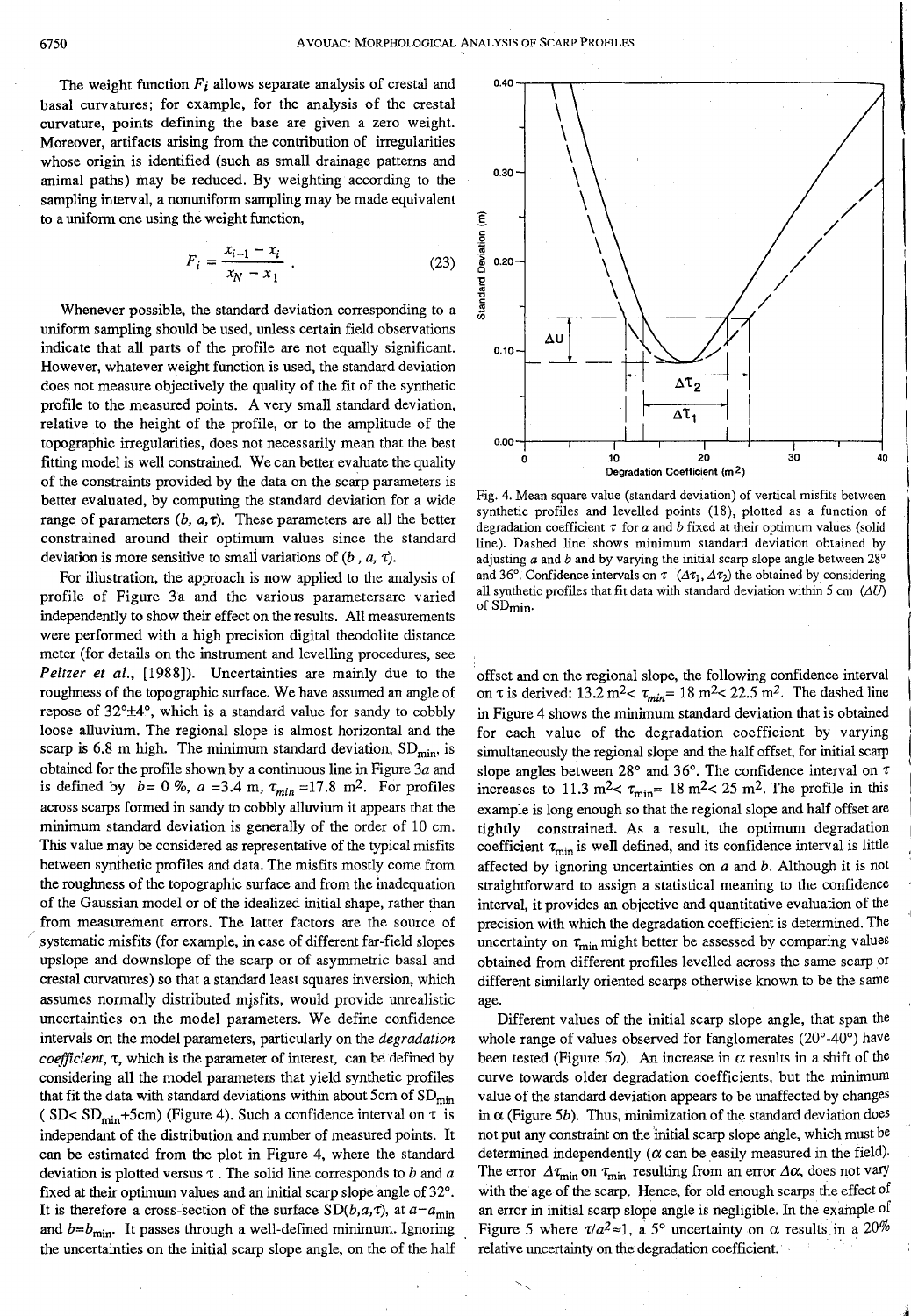The weight function  $F_i$  allows separate analysis of crestal and basal curvatures; for example, for the analysis of the crestal curvature, points defining the base are given a zero weight. Moreover, artifacts arising from the contribution of irregularities whose origin is identified (such as small drainage patterns and animal paths) may be reduced. By weighting according to the sampling interval, a nonuniform sampling may be made equivalent to a uniform one using the weight function,

$$
F_i = \frac{x_{i-1} - x_i}{x_N - x_1} \tag{23}
$$

Whenever possible, the standard deviation corresponding to a uniform sampling should be used, unless certain field observations indicate that all parts of the profile are not equally significant. However, whatever weight function is used, the standard deviation does not measure objectively the quality of the fit of the synthetic profile to the measured points. A very small standard deviation, relative to the height of the profile, or to the amplitude of the topographic irregularities, does not necessarily mean that the best fitting model is well constrained. We can better evaluate the quality of the constraints provided by the data on the scarp parameters is better evaluated, by computing the standard deviation for a wide range of parameters  $(b, a, \tau)$ . These parameters are all the better constrained around their optimum values since the standard deviation is more sensitive to small variations of  $(b, a, \tau)$ .

For illustration, the approach is now applied to the analysis of profile of Figure 3a and the various parametersare varied independently to show their effect on the results. All measurements were performed with a high precision digital theodolite distance meter (for details on the instrument and levelling procedures, see *Peltzer et a/.,* [1988]). Uncertainties are mainly due to the roughness of the topographic surface. We have assumed an angle of repose of 32°±4°, which is a standard value for sandy to cobbly loose alluvium. The regional slope is almost horizontal and the scarp is 6.8 m high. The minimum standard deviation,  $SD_{min}$ , is obtained for the profile shown by a continuous line in Figure  $3a$  and is defined by  $b = 0\%$ ,  $a = 3.4$  m,  $\tau_{min} = 17.8$  m<sup>2</sup>. For profiles across scarps formed in sandy to cobbly alluvium it appears that the minimum standard deviation is generally of the order of 10 em. This value may be considered as representative of the typical misfits between synthetic profiles and data. The misfits mostly come from the roughness of the topographic surface and from the inadequation of the Gaussian model or of the idealized initial shape, rather than from measurement errors. The latter factors are the source of systematic misfits (for example, in case of different far-field slopes upslope and downslope of the scarp or of asymmetric basal and crestal curvatures) so that a standard least squares inversion, which assumes normally distributed misfits, would provide unrealistic uncertainties on the model parameters. We define confidence intervals on the model parameters, particularly on the *degradation coefficient, t*, which is the parameter of interest, can be defined by considering all the model parameters that yield synthetic profiles that fit the data with standard deviations within about 5cm of  $SD_{min}$ ( SD< SD<sub>min</sub>+5cm) (Figure 4). Such a confidence interval on  $\tau$  is independant of the distribution and number of measured points. It can be estimated from the plot in Figure 4, where the standard deviation is plotted versus 't . The solid line corresponds to *b* and *a*  fixed at their optimum values and an initial scarp slope angle of 32°. It is therefore a cross-section of the surface  $SD(b, a, \tau)$ , at  $a=a_{\text{min}}$ and  $b=b_{\min}$ . It passes through a well-defined minimum. Ignoring the uncertainties on the initial scarp slope angle, on the of the half



Fig. 4. Mean square value (standard deviation) of vertical misfits between synthetic profiles and levelled points (18), plotted as a function of degradation coefficient  $\tau$  for  $a$  and  $b$  fixed at their optimum values (solid line). Dashed line shows minimum standard deviation obtained by adjusting *a* and *b* and by varying the initial scarp slope angle between 28° and 36°. Confidence intervals on  $\tau$  ( $\Delta \tau_1$ ,  $\Delta \tau_2$ ) the obtained by considering all synthetic profiles that fit data with standard deviation within 5 cm  $(\Delta U)$ of SD<sub>min</sub>.

·offset and on the regional slope, the following confidence interval on  $\tau$  is derived: 13.2 m<sup>2</sup> <  $\tau_{min}$  = 18 m<sup>2</sup> < 22.5 m<sup>2</sup>. The dashed line in Figure 4 shows the minimum standard deviation that is obtained for each value of the degradation coefficient by varying simultaneously the regional slope and the half offset, for initial scarp slope angles between 28° and 36°. The confidence interval on  $\tau$ increases to 11.3 m<sup>2</sup> <  $\tau_{\text{min}}$  = 18 m<sup>2</sup> < 25 m<sup>2</sup>. The profile in this example is long enough so that the regional slope and half offset are tightly constrained. As a result, the optimum degradation coefficient  $\tau_{\min}$  is well defined, and its confidence interval is little affected by ignoring uncertainties on *a* and *b.* Although it is not straightforward to assign a statistical meaning to the confidence interval, it provides an objective and quantitative evaluation of the precision with which the degradation coefficient is determined. The uncertainty on  $\tau_{\text{min}}$  might better be assessed by comparing values obtained from different profiles levelled across the same scarp or different similarly oriented scarps otherwise known to be the same age.

Different values of the initial scarp slope angle, that span the whole range of values observed for fanglomerates (20°-40°) have been tested (Figure 5*a*). An increase in  $\alpha$  results in a shift of the curve towards older degradation coefficients, but the minimum value of the standard deviation appears to be unaffected by changes in  $\alpha$  (Figure 5*b*). Thus, minimization of the standard deviation does not put any constraint on the 'initial scarp slope angle, which must be determined independently ( $\alpha$  can be easily measured in the field). The error  $\Delta \tau_{\text{min}}$  on  $\tau_{\text{min}}$  resulting from an error  $\Delta \alpha$ , does not vary with the age of the scarp. Hence, for old enough scarps the effect of an error in initial scarp slope angle is negligible. In the example of Figure 5 where  $\tau/a^2 \approx 1$ , a 5° uncertainty on  $\alpha$  results in a 20% relative uncertainty on the degradation coefficient. ·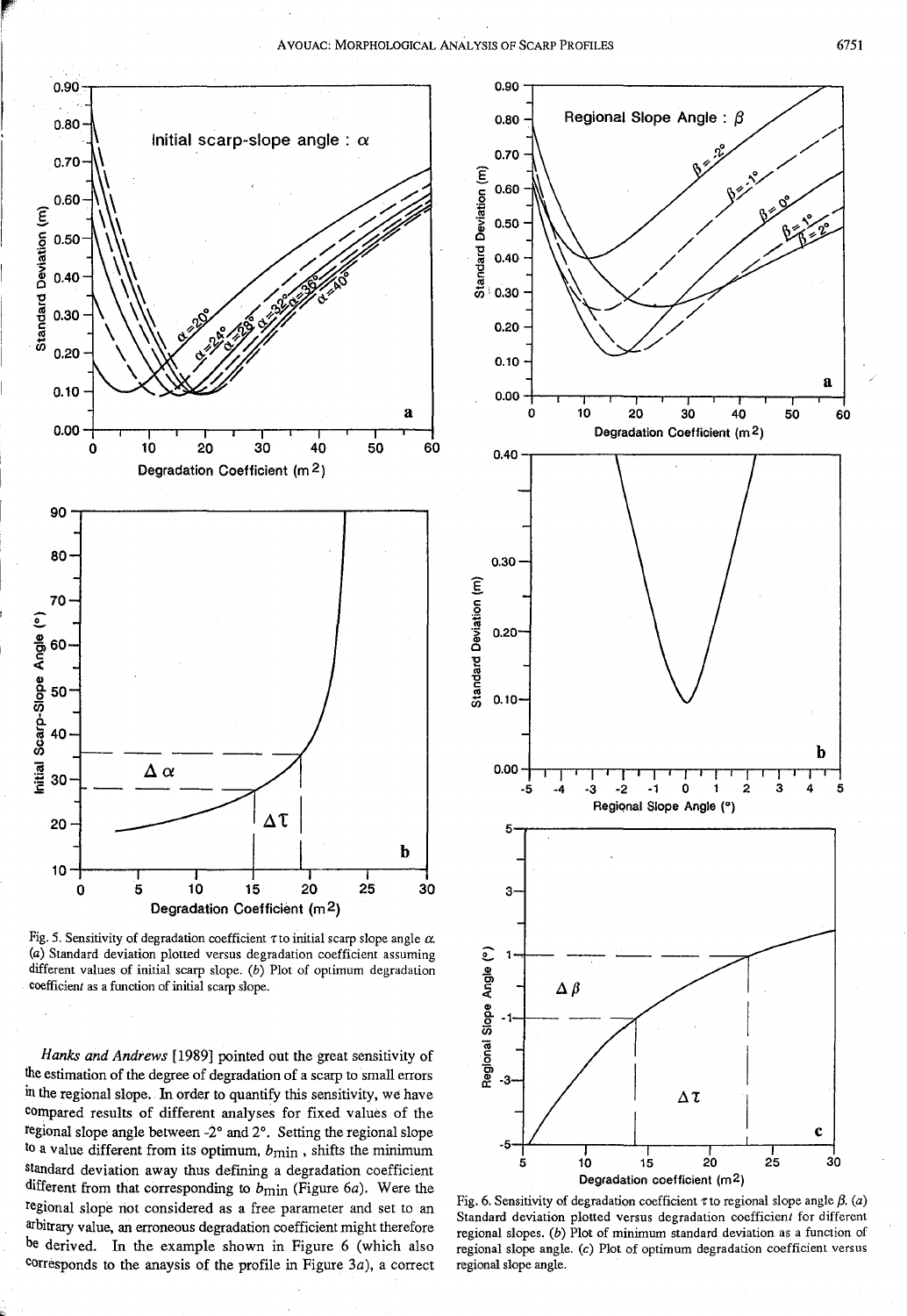

Fig. 5. Sensitivity of degradation coefficient  $\tau$  to initial scarp slope angle  $\alpha$ . (a) Standard deviation plotted versus degradation coefficient assuming different values of initial scarp slope. (b) Plot of optimum degradation coefficient as a function of initial scarp slope.

Hanks and Andrews [1989] pointed out the great sensitivity of the estimation of the degree of degradation of a scarp to small errors in the regional slope. In order to quantify this sensitivity, we have compared results of different analyses for fixed values of the regional slope angle between -2° and 2°. Setting the regional slope to a value different from its optimum,  $b_{\text{min}}$ , shifts the minimum standard deviation away thus defining a degradation coefficient different from that corresponding to  $b_{\text{min}}$  (Figure 6a). Were the regional slope not considered as a free parameter and set to an arbitrary value, an erroneous degradation coefficient might therefore be derived. In the example shown in Figure 6 (which also corresponds to the anaysis of the profile in Figure  $3a$ ), a correct



Fig. 6. Sensitivity of degradation coefficient  $\tau$  to regional slope angle  $\beta$ . (a) Standard deviation plotted versus degradation coefficient for different regional slopes. (b) Plot of minimum standard deviation as a function of regional slope angle. (c) Plot of optimum degradation coefficient versus regional slope angle.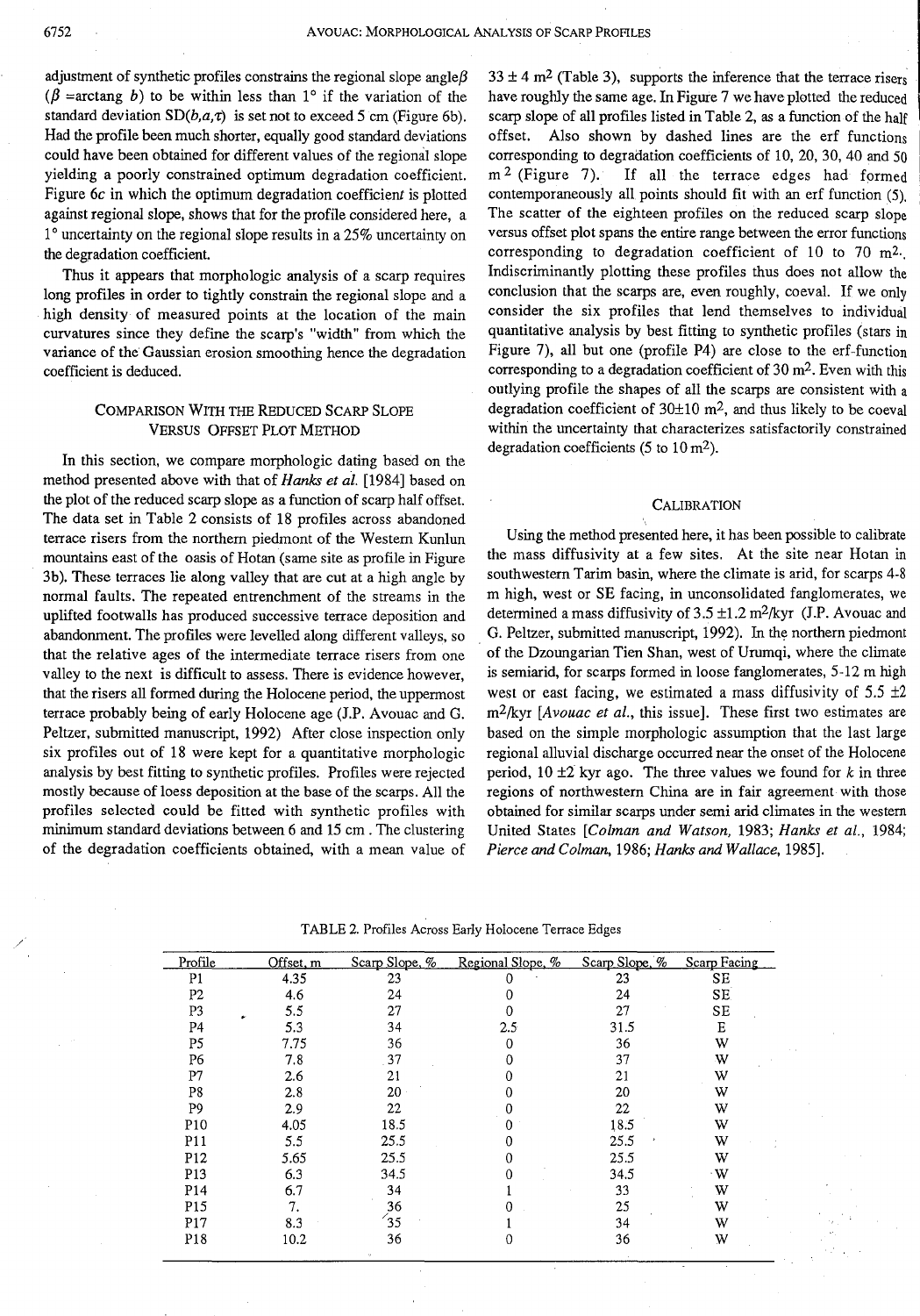adjustment of synthetic profiles constrains the regional slope angle  $\beta$ ( $\beta$  =arctang b) to be within less than 1° if the variation of the standard deviation *SD(b,a,t)* is set not to exceed 5 cm (Figure 6b). Had the profile been much shorter, equally good standard deviations could have been obtained for different values of the regional slope yielding a poorly constrained optimum degradation coefficient. Figure 6c in which the optimum degradation coefficient is plotted against regional slope, shows that for the profile considered here, a 1° uncertainty on the regional slope results in a 25% uncertainty on the degradation coefficient.

Thus it appears that morphologic analysis of a scarp requires long profiles in order to tightly constrain the regional slope and a high density of measured points at the location of the main curvatures since they define the scarp's "width" from which the variance of the Gaussian erosion smoothing hence the degradation coefficient is deduced.

# COMPARISON WITH THE REDUCED SCARP SLOPE VERSUS OFFSET PLOT METHOD

In this section, we compare morphologic dating based on the method presented above with that of *Hanks et al.* [1984] based on the plot of the reduced scarp slope as a function of scarp half offset. The data set in Table 2 consists of 18 profiles across abandoned terrace risers from the northern piedmont of the Western Kunlun mountains east of the oasis of Rotan (same site as profile in Figure 3b). These terraces lie along valley that are cut at a high angle by normal faults. The repeated entrenchment of the streams in the uplifted footwalls has produced successive terrace deposition and abandonment. The profiles were levelled along different valleys, so that the relative ages of the intermediate terrace risers from one valley to the next is difficult to assess. There is evidence however, that the risers all formed during the Holocene period, the uppermost terrace probably being of early Holocene age (J.P. Avouac and G. Peltzer, submitted manuscript, 1992) After close inspection only six profiles out of 18 were kept for a quantitative morphologic analysis by best fitting to synthetic profiles. Profiles were rejected mostly because of loess deposition at the base of the scarps. All the profiles selected could be fitted with synthetic profiles with minimum standard deviations between 6 and 15 em . The clustering of the degradation coefficients obtained, with a mean value of

 $33 \pm 4$  m<sup>2</sup> (Table 3), supports the inference that the terrace risers have roughly the same age. In Figure 7 we have plotted the reduced scarp slope of all profiles listed in Table 2, as a function of the half offset. Also shown by dashed lines are the erf functions corresponding to degradation coefficients of 10, 20, 30, 40 and 50 m<sup>2</sup> (Figure 7). If all the terrace edges had formed If all the terrace edges had formed contemporaneously all points should fit with an erf function (5). The scatter of the eighteen profiles on the reduced scarp slope versus offset plot spans the entire range between the error functions corresponding to degradation coefficient of 10 to 70 m<sup>2</sup>. lndiscriminantly plotting these profiles thus does not allow the conclusion that the scarps are, even roughly, coeval. If we only consider the six profiles that lend themselves to individual quantitative analysis by best fitting to synthetic profiles (stars in Figure 7), all but one (profile P4) are close to the erf-function corresponding to a degradation coefficient of 30m2. Even with this outlying profile the shapes of all the scarps are consistent with a degradation coefficient of  $30\pm10$  m<sup>2</sup>, and thus likely to be coeval within the uncertainty that characterizes satisfactorily constrained degradation coefficients (5 to  $10 \text{ m}^2$ ).

### **CALIBRATION**

Using the method presented here, it has been possible to calibrate the mass diffusivity at a few sites. At the site near Rotan in southwestern Tarim basin, where the climate is arid, for scarps 4-8 m high, west or SE facing, in unconsolidated fanglomerates, we determined a mass diffusivity of  $3.5 \pm 1.2$  m<sup>2</sup>/kyr (J.P. Avouac and G. Peltzer, submitted manuscript, 1992). In the northern piedmont of the Dzoungarian Tien Shan, west of Urumqi, where the climate is semiarid, for scarps formed in loose fanglomerates, 5-12 m high west or east facing, we estimated a mass diffusivity of  $5.5 \pm 2$ m2fkyr *[Avouac et a!.,* this issue]. These first two estimates are based on the simple morphologic assumption that the last large regional alluvial discharge occurred near the onset of the Holocene period, 10 ±2 kyr ago. The three values we found for *k* in three regions of northwestern China are in fair agreement with those obtained for similar scarps under semi arid climates in the western United States *[Colman and Watson,* 1983; *Hanks et a!.,* 1984; *Pierce and Colman,* 1986; *Hanks and Wallace,* 1985].

| Profile         | Offset, m | Scarp Slope, % | Regional Slope, % | Scarp Slope, % | Scarp Facing |
|-----------------|-----------|----------------|-------------------|----------------|--------------|
| P1              | 4.35      | 23             | 0                 | 23             | SE           |
| P2              | 4.6       | 24             |                   | 24             | <b>SE</b>    |
| P3              | 5.5       | 27             |                   | 27             | SE           |
| P4              | 5.3       | 34             | 2.5               | 31.5           | E            |
| P5              | 7.75      | 36             | 0                 | 36             | W            |
| P6              | 7.8       | 37             |                   | 37             | W            |
| P7              | 2.6       | 21             |                   | 21             | W            |
| P8              | 2.8       | 20             |                   | 20             | w            |
| P9              | 2.9       | 22             |                   | 22             | W            |
| P10             | 4.05      | 18.5           |                   | 18.5           | W            |
| P <sub>11</sub> | 5.5       | 25.5           |                   | 25.5           | W            |
| P <sub>12</sub> | 5.65      | 25.5           |                   | 25.5           | w            |
| P <sub>13</sub> | 6.3       | 34.5           |                   | 34.5           | $\cdot w$    |
| P14             | 6.7       | 34             |                   | 33             | W            |
| P <sub>15</sub> | 7.        | 36             |                   | 25             | W            |
| P <sub>17</sub> | 8.3       | $\sqrt{35}$    |                   | 34             | W            |
| P <sub>18</sub> | 10.2      | 36             |                   | 36             | W            |

TABLE 2. Profiles Across Early Holocene Terrace Edges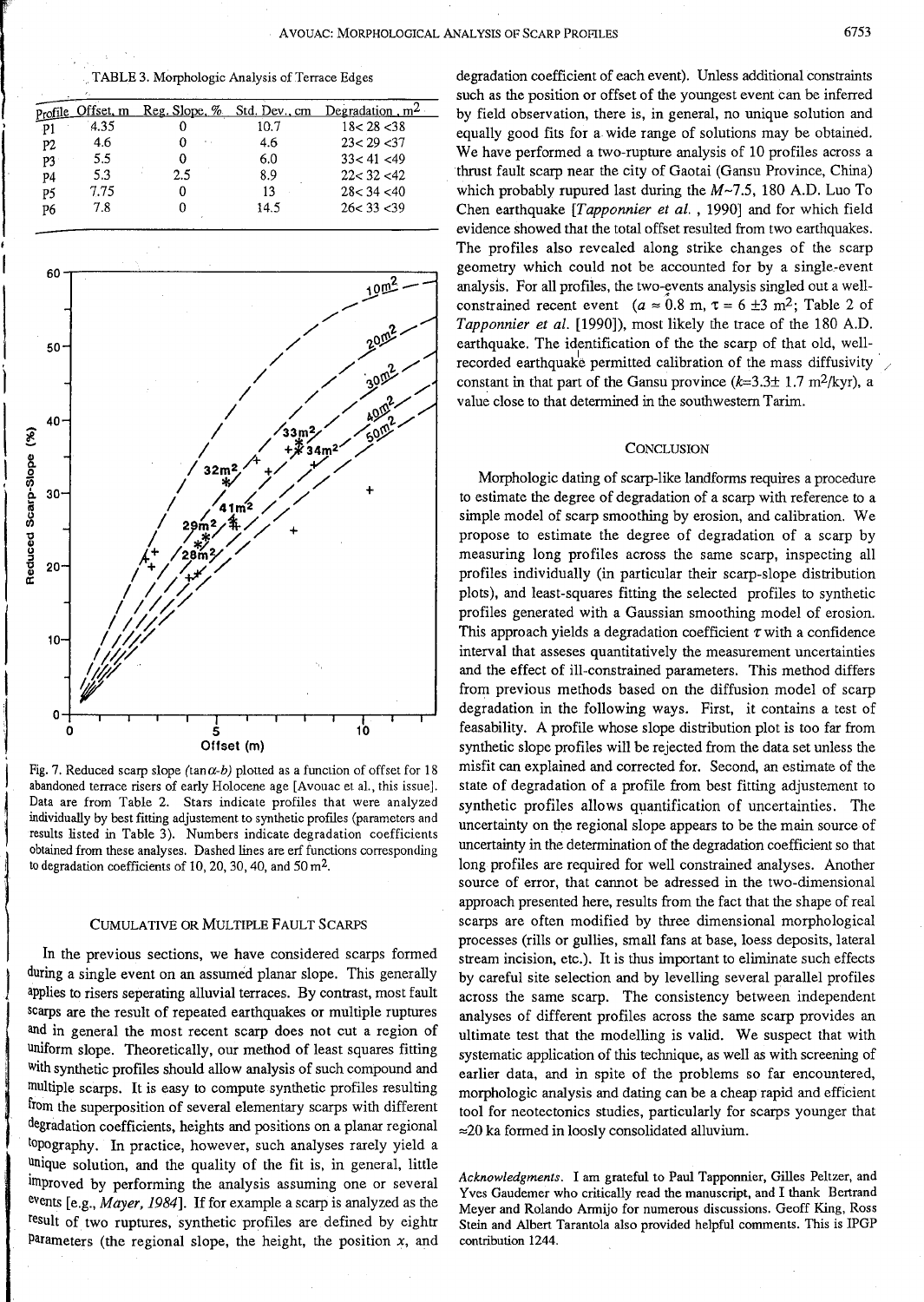AVOUAC: MORPHOLOGICAL ANALYSIS OF SCARP PROFILES

TABLE 3. Morphologic Analysis of Terrace Edges

|      |                   |      | Degradation, $m^2$            |
|------|-------------------|------|-------------------------------|
| 4.35 |                   | 10.7 | 18 < 28 < 38                  |
| 4.6  | ٠.                | 4.6  | 23 < 29 < 37                  |
| 5.5  |                   | 6.0  | 33 < 41 < 49                  |
| 5.3  | 2.5               | 8.9  | 22 < 32 < 42                  |
| 7.75 |                   | 13   | 28 < 34 < 40                  |
| 7.8  |                   | 14.5 | 26 < 33 < 39                  |
|      | Profile Offset, m |      | Reg. Slope, $%$ Std. Dev., cm |



Fig. 7. Reduced scarp slope (tan $\alpha$ -b) plotted as a function of offset for 18 abandoned terrace risers of early Holocene age [Avouac et al., this issue]. Data are from Table 2. Stars indicate profiles that were analyzed individually by best fitting adjustement to synthetic profiles (parameters and results listed in Table 3). Numbers indicate degradation coefficients obtained from these analyses. Dashed lines are erf functions corresponding to degradation coefficients of 10, 20, 30, 40, and  $50 \text{ m}^2$ .

### **CUMULATIVE OR MULTIPLE FAULT SCARPS**

In the previous sections, we have considered scarps formed during a single event on an assumed planar slope. This generally applies to risers seperating alluvial terraces. By contrast, most fault scarps are the result of repeated earthquakes or multiple ruptures and in general the most recent scarp does not cut a region of uniform slope. Theoretically, our method of least squares fitting with synthetic profiles should allow analysis of such compound and multiple scarps. It is easy to compute synthetic profiles resulting from the superposition of several elementary scarps with different degradation coefficients, heights and positions on a planar regional topography. In practice, however, such analyses rarely yield a unique solution, and the quality of the fit is, in general, little improved by performing the analysis assuming one or several events [e.g., Mayer, 1984]. If for example a scarp is analyzed as the result of two ruptures, synthetic profiles are defined by eightr Parameters (the regional slope, the height, the position  $x$ , and degradation coefficient of each event). Unless additional constraints such as the position or offset of the youngest event can be inferred by field observation, there is, in general, no unique solution and equally good fits for a wide range of solutions may be obtained. We have performed a two-rupture analysis of 10 profiles across a thrust fault scarp near the city of Gaotai (Gansu Province, China) which probably rupured last during the  $M \sim 7.5$ , 180 A.D. Luo To Chen earthquake [Tapponnier et al., 1990] and for which field evidence showed that the total offset resulted from two earthquakes. The profiles also revealed along strike changes of the scarp geometry which could not be accounted for by a single-event analysis. For all profiles, the two-events analysis singled out a wellconstrained recent event ( $a \approx 0.8$  m,  $\tau = 6 \pm 3$  m<sup>2</sup>; Table 2 of Tapponnier et al. [1990]), most likely the trace of the 180 A.D. earthquake. The identification of the the scarp of that old, wellrecorded earthquake permitted calibration of the mass diffusivity constant in that part of the Gansu province  $(k=3.3\pm 1.7 \text{ m}^2/\text{kyr})$ , a value close to that determined in the southwestern Tarim.

### **CONCLUSION**

Morphologic dating of scarp-like landforms requires a procedure to estimate the degree of degradation of a scarp with reference to a simple model of scarp smoothing by erosion, and calibration. We propose to estimate the degree of degradation of a scarp by measuring long profiles across the same scarp, inspecting all profiles individually (in particular their scarp-slope distribution plots), and least-squares fitting the selected profiles to synthetic profiles generated with a Gaussian smoothing model of erosion. This approach yields a degradation coefficient  $\tau$  with a confidence interval that asseses quantitatively the measurement uncertainties and the effect of ill-constrained parameters. This method differs from previous methods based on the diffusion model of scarp degradation in the following ways. First, it contains a test of feasability. A profile whose slope distribution plot is too far from synthetic slope profiles will be rejected from the data set unless the misfit can explained and corrected for. Second, an estimate of the state of degradation of a profile from best fitting adjustement to synthetic profiles allows quantification of uncertainties. The uncertainty on the regional slope appears to be the main source of uncertainty in the determination of the degradation coefficient so that long profiles are required for well constrained analyses. Another source of error, that cannot be adressed in the two-dimensional approach presented here, results from the fact that the shape of real scarps are often modified by three dimensional morphological processes (rills or gullies, small fans at base, loess deposits, lateral stream incision, etc.). It is thus important to eliminate such effects by careful site selection and by levelling several parallel profiles across the same scarp. The consistency between independent analyses of different profiles across the same scarp provides an ultimate test that the modelling is valid. We suspect that with systematic application of this technique, as well as with screening of earlier data, and in spite of the problems so far encountered, morphologic analysis and dating can be a cheap rapid and efficient tool for neotectonics studies, particularly for scarps younger that  $\approx$  20 ka formed in loosly consolidated alluvium.

Acknowledgments. I am grateful to Paul Tapponnier, Gilles Peltzer, and Yves Gaudemer who critically read the manuscript, and I thank Bertrand Meyer and Rolando Armijo for numerous discussions. Geoff King, Ross Stein and Albert Tarantola also provided helpful comments. This is IPGP contribution 1244.